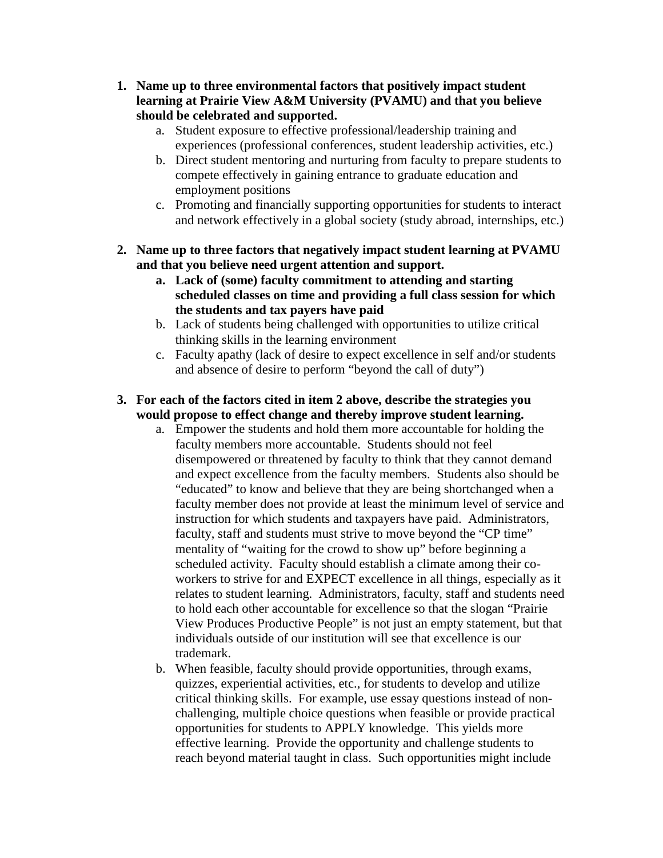- **1. Name up to three environmental factors that positively impact student learning at Prairie View A&M University (PVAMU) and that you believe should be celebrated and supported.**
	- a. Student exposure to effective professional/leadership training and experiences (professional conferences, student leadership activities, etc.)
	- b. Direct student mentoring and nurturing from faculty to prepare students to compete effectively in gaining entrance to graduate education and employment positions
	- c. Promoting and financially supporting opportunities for students to interact and network effectively in a global society (study abroad, internships, etc.)
- **2. Name up to three factors that negatively impact student learning at PVAMU and that you believe need urgent attention and support.**
	- **a. Lack of (some) faculty commitment to attending and starting scheduled classes on time and providing a full class session for which the students and tax payers have paid**
	- b. Lack of students being challenged with opportunities to utilize critical thinking skills in the learning environment
	- c. Faculty apathy (lack of desire to expect excellence in self and/or students and absence of desire to perform "beyond the call of duty")
- **3. For each of the factors cited in item 2 above, describe the strategies you would propose to effect change and thereby improve student learning.**
	- a. Empower the students and hold them more accountable for holding the faculty members more accountable. Students should not feel disempowered or threatened by faculty to think that they cannot demand and expect excellence from the faculty members. Students also should be "educated" to know and believe that they are being shortchanged when a faculty member does not provide at least the minimum level of service and instruction for which students and taxpayers have paid. Administrators, faculty, staff and students must strive to move beyond the "CP time" mentality of "waiting for the crowd to show up" before beginning a scheduled activity. Faculty should establish a climate among their coworkers to strive for and EXPECT excellence in all things, especially as it relates to student learning. Administrators, faculty, staff and students need to hold each other accountable for excellence so that the slogan "Prairie View Produces Productive People" is not just an empty statement, but that individuals outside of our institution will see that excellence is our trademark.
	- b. When feasible, faculty should provide opportunities, through exams, quizzes, experiential activities, etc., for students to develop and utilize critical thinking skills. For example, use essay questions instead of nonchallenging, multiple choice questions when feasible or provide practical opportunities for students to APPLY knowledge. This yields more effective learning. Provide the opportunity and challenge students to reach beyond material taught in class. Such opportunities might include